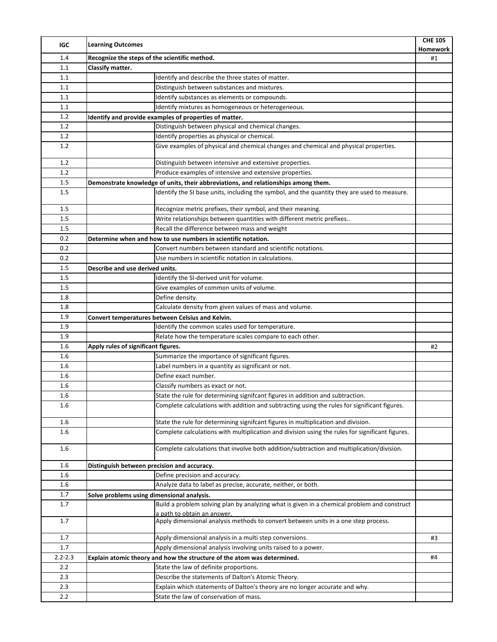| IGC         | <b>Learning Outcomes</b>                                                                        | <b>CHE 105</b><br>Homework |
|-------------|-------------------------------------------------------------------------------------------------|----------------------------|
| 1.4         | Recognize the steps of the scientific method.                                                   | #1                         |
| 1.1         | Classify matter.                                                                                |                            |
| 1.1         | Identify and describe the three states of matter.                                               |                            |
| 1.1         | Distinguish between substances and mixtures.                                                    |                            |
| 1.1         | Identify substances as elements or compounds.                                                   |                            |
| 1.1         | Identify mixtures as homogeneous or heterogeneous.                                              |                            |
| 1.2         | Identify and provide examples of properties of matter.                                          |                            |
| 1.2         | Distinguish between physical and chemical changes.                                              |                            |
| 1.2         | Identify properties as physical or chemical.                                                    |                            |
| 1.2         | Give examples of physical and chemical changes and chemical and physical properties.            |                            |
| 1.2         | Distinguish between intensive and extensive properties.                                         |                            |
| 1.2         | Produce examples of intensive and extensive properties.                                         |                            |
| 1.5         | Demonstrate knowledge of units, their abbreviations, and relationships among them.              |                            |
| 1.5         | Identify the SI base units, including the symbol, and the quantity they are used to measure.    |                            |
| 1.5         | Recognize metric prefixes, their symbol, and their meaning.                                     |                            |
| 1.5         | Write relationships between quantities with different metric prefixes                           |                            |
| 1.5         | Recall the difference between mass and weight                                                   |                            |
| 0.2         | Determine when and how to use numbers in scientific notation.                                   |                            |
| 0.2         | Convert numbers between standard and scientific notations.                                      |                            |
| 0.2         | Use numbers in scientific notation in calculations.                                             |                            |
| 1.5         | Describe and use derived units.                                                                 |                            |
| 1.5         | Identify the SI-derived unit for volume.                                                        |                            |
| 1.5         | Give examples of common units of volume.                                                        |                            |
|             |                                                                                                 |                            |
| 1.8         | Define density.                                                                                 |                            |
| 1.8         | Calculate density from given values of mass and volume.                                         |                            |
| 1.9         | Convert temperatures between Celsius and Kelvin.                                                |                            |
| 1.9         | Identify the common scales used for temperature.                                                |                            |
| 1.9         | Relate how the temperature scales compare to each other.                                        |                            |
| 1.6         | Apply rules of significant figures.                                                             | #2                         |
| 1.6         | Summarize the importance of significant figures.                                                |                            |
| 1.6         | Label numbers in a quantity as significant or not.                                              |                            |
| 1.6         | Define exact number.                                                                            |                            |
| 1.6         | Classify numbers as exact or not.                                                               |                            |
| 1.6         | State the rule for determining signifcant figures in addition and subtraction.                  |                            |
| 1.6         | Complete calculations with addition and subtracting using the rules for significant figures.    |                            |
| 1.6         | State the rule for determining signifcant figures in multiplication and division.               |                            |
| 1.6         | Complete calculations with multiplication and division using the rules for significant figures. |                            |
| 1.6         | Complete calculations that involve both addition/subtraction and multiplication/division.       |                            |
| 1.6         | Distinguish between precision and accuracy.                                                     |                            |
| 1.6         | Define precision and accuracy.                                                                  |                            |
| 1.6         | Analyze data to label as precise, accurate, neither, or both.                                   |                            |
| 1.7         | Solve problems using dimensional analysis.                                                      |                            |
| 1.7         | Build a problem solving plan by analyzing what is given in a chemical problem and construct     |                            |
|             | a path to obtain an answer.                                                                     |                            |
| 1.7         | Apply dimensional analysis methods to convert between units in a one step process.              |                            |
| 1.7         | Apply dimensional analysis in a multi step conversions.                                         | #3                         |
| 1.7         | Apply dimensional analysis involving units raised to a power.                                   |                            |
| $2.2 - 2.3$ | Explain atomic theory and how the structure of the atom was determined.                         | #4                         |
| 2.2         | State the law of definite proportions.                                                          |                            |
| 2.3         | Describe the statements of Dalton's Atomic Theory.                                              |                            |
| 2.3         | Explain which statements of Dalton's theory are no longer accurate and why.                     |                            |
| 2.2         | State the law of conservation of mass.                                                          |                            |
|             |                                                                                                 |                            |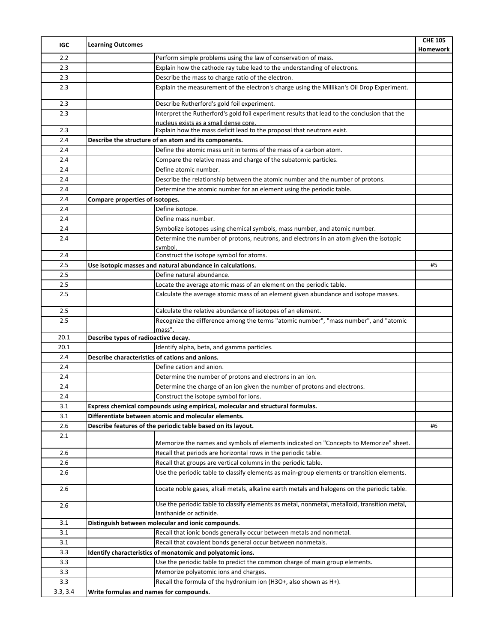| 2.2<br>Perform simple problems using the law of conservation of mass.<br>Explain how the cathode ray tube lead to the understanding of electrons.<br>2.3<br>Describe the mass to charge ratio of the electron.<br>2.3<br>Explain the measurement of the electron's charge using the Millikan's Oil Drop Experiment.<br>2.3<br>2.3<br>Describe Rutherford's gold foil experiment. | Homework |
|----------------------------------------------------------------------------------------------------------------------------------------------------------------------------------------------------------------------------------------------------------------------------------------------------------------------------------------------------------------------------------|----------|
|                                                                                                                                                                                                                                                                                                                                                                                  |          |
|                                                                                                                                                                                                                                                                                                                                                                                  |          |
|                                                                                                                                                                                                                                                                                                                                                                                  |          |
|                                                                                                                                                                                                                                                                                                                                                                                  |          |
|                                                                                                                                                                                                                                                                                                                                                                                  |          |
| Interpret the Rutherford's gold foil experiment results that lead to the conclusion that the<br>2.3                                                                                                                                                                                                                                                                              |          |
| nucleus exists as a small dense core.                                                                                                                                                                                                                                                                                                                                            |          |
| Explain how the mass deficit lead to the proposal that neutrons exist.<br>2.3                                                                                                                                                                                                                                                                                                    |          |
| Describe the structure of an atom and its components.<br>2.4                                                                                                                                                                                                                                                                                                                     |          |
| Define the atomic mass unit in terms of the mass of a carbon atom.<br>2.4                                                                                                                                                                                                                                                                                                        |          |
| Compare the relative mass and charge of the subatomic particles.<br>2.4                                                                                                                                                                                                                                                                                                          |          |
| Define atomic number.<br>2.4                                                                                                                                                                                                                                                                                                                                                     |          |
| Describe the relationship between the atomic number and the number of protons.<br>2.4                                                                                                                                                                                                                                                                                            |          |
| Determine the atomic number for an element using the periodic table.<br>2.4                                                                                                                                                                                                                                                                                                      |          |
| 2.4<br>Compare properties of isotopes.                                                                                                                                                                                                                                                                                                                                           |          |
| 2.4<br>Define isotope.                                                                                                                                                                                                                                                                                                                                                           |          |
| Define mass number.<br>2.4                                                                                                                                                                                                                                                                                                                                                       |          |
| Symbolize isotopes using chemical symbols, mass number, and atomic number.<br>2.4                                                                                                                                                                                                                                                                                                |          |
| Determine the number of protons, neutrons, and electrons in an atom given the isotopic<br>2.4<br>svmbol.                                                                                                                                                                                                                                                                         |          |
| Construct the isotope symbol for atoms.<br>2.4                                                                                                                                                                                                                                                                                                                                   |          |
| 2.5<br>Use isotopic masses and natural abundance in calculations.                                                                                                                                                                                                                                                                                                                | #5       |
| 2.5<br>Define natural abundance.                                                                                                                                                                                                                                                                                                                                                 |          |
| Locate the average atomic mass of an element on the periodic table.<br>2.5                                                                                                                                                                                                                                                                                                       |          |
| 2.5<br>Calculate the average atomic mass of an element given abundance and isotope masses.                                                                                                                                                                                                                                                                                       |          |
| 2.5<br>Calculate the relative abundance of isotopes of an element.                                                                                                                                                                                                                                                                                                               |          |
| Recognize the difference among the terms "atomic number", "mass number", and "atomic<br>2.5<br>mass".                                                                                                                                                                                                                                                                            |          |
| 20.1<br>Describe types of radioactive decay.                                                                                                                                                                                                                                                                                                                                     |          |
| Identify alpha, beta, and gamma particles.<br>20.1                                                                                                                                                                                                                                                                                                                               |          |
| 2.4<br>Describe characteristics of cations and anions.                                                                                                                                                                                                                                                                                                                           |          |
| Define cation and anion.<br>2.4                                                                                                                                                                                                                                                                                                                                                  |          |
| Determine the number of protons and electrons in an ion.<br>2.4                                                                                                                                                                                                                                                                                                                  |          |
| Determine the charge of an ion given the number of protons and electrons.<br>2.4                                                                                                                                                                                                                                                                                                 |          |
| 2.4<br>Construct the isotope symbol for ions.                                                                                                                                                                                                                                                                                                                                    |          |
| 3.1<br>Express chemical compounds using empirical, molecular and structural formulas.                                                                                                                                                                                                                                                                                            |          |
| Differentiate between atomic and molecular elements.<br>3.1                                                                                                                                                                                                                                                                                                                      |          |
| 2.6<br>Describe features of the periodic table based on its layout.                                                                                                                                                                                                                                                                                                              | #6       |
| 2.1                                                                                                                                                                                                                                                                                                                                                                              |          |
| Memorize the names and symbols of elements indicated on "Concepts to Memorize" sheet.                                                                                                                                                                                                                                                                                            |          |
| 2.6<br>Recall that periods are horizontal rows in the periodic table.                                                                                                                                                                                                                                                                                                            |          |
| 2.6<br>Recall that groups are vertical columns in the periodic table.                                                                                                                                                                                                                                                                                                            |          |
| Use the periodic table to classify elements as main-group elements or transition elements.<br>2.6                                                                                                                                                                                                                                                                                |          |
| 2.6<br>Locate noble gases, alkali metals, alkaline earth metals and halogens on the periodic table.                                                                                                                                                                                                                                                                              |          |
| Use the periodic table to classify elements as metal, nonmetal, metalloid, transition metal,<br>2.6<br>lanthanide or actinide.                                                                                                                                                                                                                                                   |          |
| 3.1<br>Distinguish between molecular and ionic compounds.                                                                                                                                                                                                                                                                                                                        |          |
| 3.1<br>Recall that ionic bonds generally occur between metals and nonmetal.                                                                                                                                                                                                                                                                                                      |          |
| Recall that covalent bonds general occur between nonmetals.<br>3.1                                                                                                                                                                                                                                                                                                               |          |
| 3.3<br>Identify characteristics of monatomic and polyatomic ions.                                                                                                                                                                                                                                                                                                                |          |
| 3.3<br>Use the periodic table to predict the common charge of main group elements.                                                                                                                                                                                                                                                                                               |          |
| 3.3<br>Memorize polyatomic ions and charges.                                                                                                                                                                                                                                                                                                                                     |          |
| Recall the formula of the hydronium ion (H3O+, also shown as H+).<br>3.3                                                                                                                                                                                                                                                                                                         |          |
| 3.3, 3.4<br>Write formulas and names for compounds.                                                                                                                                                                                                                                                                                                                              |          |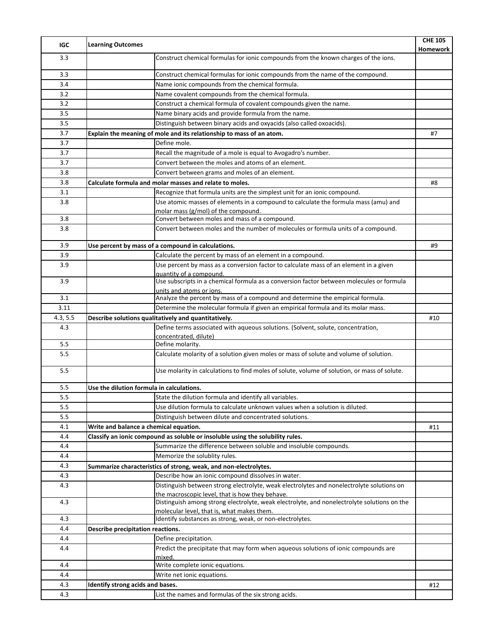| Construct chemical formulas for ionic compounds from the known charges of the ions.<br>3.3<br>3.3<br>Construct chemical formulas for ionic compounds from the name of the compound.<br>3.4<br>Name ionic compounds from the chemical formula.<br>3.2<br>Name covalent compounds from the chemical formula.<br>3.2<br>Construct a chemical formula of covalent compounds given the name.<br>3.5<br>Name binary acids and provide formula from the name.<br>3.5<br>Distinguish between binary acids and oxyacids (also called oxoacids).<br>3.7<br>Explain the meaning of mole and its relationship to mass of an atom.<br>#7<br>Define mole.<br>3.7<br>3.7<br>Recall the magnitude of a mole is equal to Avogadro's number.<br>Convert between the moles and atoms of an element.<br>3.7<br>Convert between grams and moles of an element.<br>3.8<br>3.8<br>Calculate formula and molar masses and relate to moles.<br>#8<br>3.1<br>Recognize that formula units are the simplest unit for an ionic compound.<br>Use atomic masses of elements in a compound to calculate the formula mass (amu) and<br>3.8<br>molar mass (g/mol) of the compound.<br>Convert between moles and mass of a compound.<br>3.8<br>Convert between moles and the number of molecules or formula units of a compound.<br>3.8<br>3.9<br>Use percent by mass of a compound in calculations.<br>#9<br>Calculate the percent by mass of an element in a compound.<br>3.9<br>Use percent by mass as a conversion factor to calculate mass of an element in a given<br>3.9<br>quantity of a compound.<br>Use subscripts in a chemical formula as a conversion factor between molecules or formula<br>3.9<br>units and atoms or ions.<br>Analyze the percent by mass of a compound and determine the empirical formula.<br>3.1<br>Determine the molecular formula if given an empirical formula and its molar mass.<br>3.11<br>4.3, 5.5<br>Describe solutions qualitatively and quantitatively.<br>#10<br>Define terms associated with aqueous solutions. (Solvent, solute, concentration,<br>4.3<br>concentrated, dilute)<br>Define molarity.<br>5.5<br>5.5<br>Calculate molarity of a solution given moles or mass of solute and volume of solution.<br>5.5<br>Use molarity in calculations to find moles of solute, volume of solution, or mass of solute.<br>5.5<br>Use the dilution formula in calculations.<br>5.5<br>State the dilution formula and identify all variables.<br>Use dilution formula to calculate unknown values when a solution is diluted.<br>5.5<br>5.5<br>Distinguish between dilute and concentrated solutions.<br>Write and balance a chemical equation.<br>4.1<br>#11<br>Classify an ionic compound as soluble or insoluble using the solubility rules.<br>4.4<br>Summarize the difference between soluble and insoluble compounds.<br>4.4<br>Memorize the solublity rules.<br>4.4<br>4.3<br>Summarize characteristics of strong, weak, and non-electrolytes.<br>Describe how an ionic compound dissolves in water.<br>4.3<br>Distinguish between strong electrolyte, weak electrolytes and nonelectrolyte solutions on<br>4.3<br>the macroscopic level, that is how they behave.<br>Distinguish among strong electrolyte, weak electrolyte, and nonelectrolyte solutions on the<br>4.3<br>molecular level, that is, what makes them.<br>Identify substances as strong, weak, or non-electrolytes.<br>4.3<br>Describe precipitation reactions.<br>4.4<br>Define precipitation.<br>4.4<br>Predict the precipitate that may form when aqueous solutions of ionic compounds are<br>4.4<br>mixed.<br>Write complete ionic equations.<br>4.4<br>4.4<br>Write net ionic equations.<br>Identify strong acids and bases.<br>4.3<br>#12<br>List the names and formulas of the six strong acids.<br>4.3 | IGC | <b>Learning Outcomes</b> | <b>CHE 105</b><br>Homework |
|----------------------------------------------------------------------------------------------------------------------------------------------------------------------------------------------------------------------------------------------------------------------------------------------------------------------------------------------------------------------------------------------------------------------------------------------------------------------------------------------------------------------------------------------------------------------------------------------------------------------------------------------------------------------------------------------------------------------------------------------------------------------------------------------------------------------------------------------------------------------------------------------------------------------------------------------------------------------------------------------------------------------------------------------------------------------------------------------------------------------------------------------------------------------------------------------------------------------------------------------------------------------------------------------------------------------------------------------------------------------------------------------------------------------------------------------------------------------------------------------------------------------------------------------------------------------------------------------------------------------------------------------------------------------------------------------------------------------------------------------------------------------------------------------------------------------------------------------------------------------------------------------------------------------------------------------------------------------------------------------------------------------------------------------------------------------------------------------------------------------------------------------------------------------------------------------------------------------------------------------------------------------------------------------------------------------------------------------------------------------------------------------------------------------------------------------------------------------------------------------------------------------------------------------------------------------------------------------------------------------------------------------------------------------------------------------------------------------------------------------------------------------------------------------------------------------------------------------------------------------------------------------------------------------------------------------------------------------------------------------------------------------------------------------------------------------------------------------------------------------------------------------------------------------------------------------------------------------------------------------------------------------------------------------------------------------------------------------------------------------------------------------------------------------------------------------------------------------------------------------------------------------------------------------------------------------------------------------------------------------------------------------------------------------------------------------------------------------------------------------------------------------------------------------|-----|--------------------------|----------------------------|
|                                                                                                                                                                                                                                                                                                                                                                                                                                                                                                                                                                                                                                                                                                                                                                                                                                                                                                                                                                                                                                                                                                                                                                                                                                                                                                                                                                                                                                                                                                                                                                                                                                                                                                                                                                                                                                                                                                                                                                                                                                                                                                                                                                                                                                                                                                                                                                                                                                                                                                                                                                                                                                                                                                                                                                                                                                                                                                                                                                                                                                                                                                                                                                                                                                                                                                                                                                                                                                                                                                                                                                                                                                                                                                                                                                                              |     |                          |                            |
|                                                                                                                                                                                                                                                                                                                                                                                                                                                                                                                                                                                                                                                                                                                                                                                                                                                                                                                                                                                                                                                                                                                                                                                                                                                                                                                                                                                                                                                                                                                                                                                                                                                                                                                                                                                                                                                                                                                                                                                                                                                                                                                                                                                                                                                                                                                                                                                                                                                                                                                                                                                                                                                                                                                                                                                                                                                                                                                                                                                                                                                                                                                                                                                                                                                                                                                                                                                                                                                                                                                                                                                                                                                                                                                                                                                              |     |                          |                            |
|                                                                                                                                                                                                                                                                                                                                                                                                                                                                                                                                                                                                                                                                                                                                                                                                                                                                                                                                                                                                                                                                                                                                                                                                                                                                                                                                                                                                                                                                                                                                                                                                                                                                                                                                                                                                                                                                                                                                                                                                                                                                                                                                                                                                                                                                                                                                                                                                                                                                                                                                                                                                                                                                                                                                                                                                                                                                                                                                                                                                                                                                                                                                                                                                                                                                                                                                                                                                                                                                                                                                                                                                                                                                                                                                                                                              |     |                          |                            |
|                                                                                                                                                                                                                                                                                                                                                                                                                                                                                                                                                                                                                                                                                                                                                                                                                                                                                                                                                                                                                                                                                                                                                                                                                                                                                                                                                                                                                                                                                                                                                                                                                                                                                                                                                                                                                                                                                                                                                                                                                                                                                                                                                                                                                                                                                                                                                                                                                                                                                                                                                                                                                                                                                                                                                                                                                                                                                                                                                                                                                                                                                                                                                                                                                                                                                                                                                                                                                                                                                                                                                                                                                                                                                                                                                                                              |     |                          |                            |
|                                                                                                                                                                                                                                                                                                                                                                                                                                                                                                                                                                                                                                                                                                                                                                                                                                                                                                                                                                                                                                                                                                                                                                                                                                                                                                                                                                                                                                                                                                                                                                                                                                                                                                                                                                                                                                                                                                                                                                                                                                                                                                                                                                                                                                                                                                                                                                                                                                                                                                                                                                                                                                                                                                                                                                                                                                                                                                                                                                                                                                                                                                                                                                                                                                                                                                                                                                                                                                                                                                                                                                                                                                                                                                                                                                                              |     |                          |                            |
|                                                                                                                                                                                                                                                                                                                                                                                                                                                                                                                                                                                                                                                                                                                                                                                                                                                                                                                                                                                                                                                                                                                                                                                                                                                                                                                                                                                                                                                                                                                                                                                                                                                                                                                                                                                                                                                                                                                                                                                                                                                                                                                                                                                                                                                                                                                                                                                                                                                                                                                                                                                                                                                                                                                                                                                                                                                                                                                                                                                                                                                                                                                                                                                                                                                                                                                                                                                                                                                                                                                                                                                                                                                                                                                                                                                              |     |                          |                            |
|                                                                                                                                                                                                                                                                                                                                                                                                                                                                                                                                                                                                                                                                                                                                                                                                                                                                                                                                                                                                                                                                                                                                                                                                                                                                                                                                                                                                                                                                                                                                                                                                                                                                                                                                                                                                                                                                                                                                                                                                                                                                                                                                                                                                                                                                                                                                                                                                                                                                                                                                                                                                                                                                                                                                                                                                                                                                                                                                                                                                                                                                                                                                                                                                                                                                                                                                                                                                                                                                                                                                                                                                                                                                                                                                                                                              |     |                          |                            |
|                                                                                                                                                                                                                                                                                                                                                                                                                                                                                                                                                                                                                                                                                                                                                                                                                                                                                                                                                                                                                                                                                                                                                                                                                                                                                                                                                                                                                                                                                                                                                                                                                                                                                                                                                                                                                                                                                                                                                                                                                                                                                                                                                                                                                                                                                                                                                                                                                                                                                                                                                                                                                                                                                                                                                                                                                                                                                                                                                                                                                                                                                                                                                                                                                                                                                                                                                                                                                                                                                                                                                                                                                                                                                                                                                                                              |     |                          |                            |
|                                                                                                                                                                                                                                                                                                                                                                                                                                                                                                                                                                                                                                                                                                                                                                                                                                                                                                                                                                                                                                                                                                                                                                                                                                                                                                                                                                                                                                                                                                                                                                                                                                                                                                                                                                                                                                                                                                                                                                                                                                                                                                                                                                                                                                                                                                                                                                                                                                                                                                                                                                                                                                                                                                                                                                                                                                                                                                                                                                                                                                                                                                                                                                                                                                                                                                                                                                                                                                                                                                                                                                                                                                                                                                                                                                                              |     |                          |                            |
|                                                                                                                                                                                                                                                                                                                                                                                                                                                                                                                                                                                                                                                                                                                                                                                                                                                                                                                                                                                                                                                                                                                                                                                                                                                                                                                                                                                                                                                                                                                                                                                                                                                                                                                                                                                                                                                                                                                                                                                                                                                                                                                                                                                                                                                                                                                                                                                                                                                                                                                                                                                                                                                                                                                                                                                                                                                                                                                                                                                                                                                                                                                                                                                                                                                                                                                                                                                                                                                                                                                                                                                                                                                                                                                                                                                              |     |                          |                            |
|                                                                                                                                                                                                                                                                                                                                                                                                                                                                                                                                                                                                                                                                                                                                                                                                                                                                                                                                                                                                                                                                                                                                                                                                                                                                                                                                                                                                                                                                                                                                                                                                                                                                                                                                                                                                                                                                                                                                                                                                                                                                                                                                                                                                                                                                                                                                                                                                                                                                                                                                                                                                                                                                                                                                                                                                                                                                                                                                                                                                                                                                                                                                                                                                                                                                                                                                                                                                                                                                                                                                                                                                                                                                                                                                                                                              |     |                          |                            |
|                                                                                                                                                                                                                                                                                                                                                                                                                                                                                                                                                                                                                                                                                                                                                                                                                                                                                                                                                                                                                                                                                                                                                                                                                                                                                                                                                                                                                                                                                                                                                                                                                                                                                                                                                                                                                                                                                                                                                                                                                                                                                                                                                                                                                                                                                                                                                                                                                                                                                                                                                                                                                                                                                                                                                                                                                                                                                                                                                                                                                                                                                                                                                                                                                                                                                                                                                                                                                                                                                                                                                                                                                                                                                                                                                                                              |     |                          |                            |
|                                                                                                                                                                                                                                                                                                                                                                                                                                                                                                                                                                                                                                                                                                                                                                                                                                                                                                                                                                                                                                                                                                                                                                                                                                                                                                                                                                                                                                                                                                                                                                                                                                                                                                                                                                                                                                                                                                                                                                                                                                                                                                                                                                                                                                                                                                                                                                                                                                                                                                                                                                                                                                                                                                                                                                                                                                                                                                                                                                                                                                                                                                                                                                                                                                                                                                                                                                                                                                                                                                                                                                                                                                                                                                                                                                                              |     |                          |                            |
|                                                                                                                                                                                                                                                                                                                                                                                                                                                                                                                                                                                                                                                                                                                                                                                                                                                                                                                                                                                                                                                                                                                                                                                                                                                                                                                                                                                                                                                                                                                                                                                                                                                                                                                                                                                                                                                                                                                                                                                                                                                                                                                                                                                                                                                                                                                                                                                                                                                                                                                                                                                                                                                                                                                                                                                                                                                                                                                                                                                                                                                                                                                                                                                                                                                                                                                                                                                                                                                                                                                                                                                                                                                                                                                                                                                              |     |                          |                            |
|                                                                                                                                                                                                                                                                                                                                                                                                                                                                                                                                                                                                                                                                                                                                                                                                                                                                                                                                                                                                                                                                                                                                                                                                                                                                                                                                                                                                                                                                                                                                                                                                                                                                                                                                                                                                                                                                                                                                                                                                                                                                                                                                                                                                                                                                                                                                                                                                                                                                                                                                                                                                                                                                                                                                                                                                                                                                                                                                                                                                                                                                                                                                                                                                                                                                                                                                                                                                                                                                                                                                                                                                                                                                                                                                                                                              |     |                          |                            |
|                                                                                                                                                                                                                                                                                                                                                                                                                                                                                                                                                                                                                                                                                                                                                                                                                                                                                                                                                                                                                                                                                                                                                                                                                                                                                                                                                                                                                                                                                                                                                                                                                                                                                                                                                                                                                                                                                                                                                                                                                                                                                                                                                                                                                                                                                                                                                                                                                                                                                                                                                                                                                                                                                                                                                                                                                                                                                                                                                                                                                                                                                                                                                                                                                                                                                                                                                                                                                                                                                                                                                                                                                                                                                                                                                                                              |     |                          |                            |
|                                                                                                                                                                                                                                                                                                                                                                                                                                                                                                                                                                                                                                                                                                                                                                                                                                                                                                                                                                                                                                                                                                                                                                                                                                                                                                                                                                                                                                                                                                                                                                                                                                                                                                                                                                                                                                                                                                                                                                                                                                                                                                                                                                                                                                                                                                                                                                                                                                                                                                                                                                                                                                                                                                                                                                                                                                                                                                                                                                                                                                                                                                                                                                                                                                                                                                                                                                                                                                                                                                                                                                                                                                                                                                                                                                                              |     |                          |                            |
|                                                                                                                                                                                                                                                                                                                                                                                                                                                                                                                                                                                                                                                                                                                                                                                                                                                                                                                                                                                                                                                                                                                                                                                                                                                                                                                                                                                                                                                                                                                                                                                                                                                                                                                                                                                                                                                                                                                                                                                                                                                                                                                                                                                                                                                                                                                                                                                                                                                                                                                                                                                                                                                                                                                                                                                                                                                                                                                                                                                                                                                                                                                                                                                                                                                                                                                                                                                                                                                                                                                                                                                                                                                                                                                                                                                              |     |                          |                            |
|                                                                                                                                                                                                                                                                                                                                                                                                                                                                                                                                                                                                                                                                                                                                                                                                                                                                                                                                                                                                                                                                                                                                                                                                                                                                                                                                                                                                                                                                                                                                                                                                                                                                                                                                                                                                                                                                                                                                                                                                                                                                                                                                                                                                                                                                                                                                                                                                                                                                                                                                                                                                                                                                                                                                                                                                                                                                                                                                                                                                                                                                                                                                                                                                                                                                                                                                                                                                                                                                                                                                                                                                                                                                                                                                                                                              |     |                          |                            |
|                                                                                                                                                                                                                                                                                                                                                                                                                                                                                                                                                                                                                                                                                                                                                                                                                                                                                                                                                                                                                                                                                                                                                                                                                                                                                                                                                                                                                                                                                                                                                                                                                                                                                                                                                                                                                                                                                                                                                                                                                                                                                                                                                                                                                                                                                                                                                                                                                                                                                                                                                                                                                                                                                                                                                                                                                                                                                                                                                                                                                                                                                                                                                                                                                                                                                                                                                                                                                                                                                                                                                                                                                                                                                                                                                                                              |     |                          |                            |
|                                                                                                                                                                                                                                                                                                                                                                                                                                                                                                                                                                                                                                                                                                                                                                                                                                                                                                                                                                                                                                                                                                                                                                                                                                                                                                                                                                                                                                                                                                                                                                                                                                                                                                                                                                                                                                                                                                                                                                                                                                                                                                                                                                                                                                                                                                                                                                                                                                                                                                                                                                                                                                                                                                                                                                                                                                                                                                                                                                                                                                                                                                                                                                                                                                                                                                                                                                                                                                                                                                                                                                                                                                                                                                                                                                                              |     |                          |                            |
|                                                                                                                                                                                                                                                                                                                                                                                                                                                                                                                                                                                                                                                                                                                                                                                                                                                                                                                                                                                                                                                                                                                                                                                                                                                                                                                                                                                                                                                                                                                                                                                                                                                                                                                                                                                                                                                                                                                                                                                                                                                                                                                                                                                                                                                                                                                                                                                                                                                                                                                                                                                                                                                                                                                                                                                                                                                                                                                                                                                                                                                                                                                                                                                                                                                                                                                                                                                                                                                                                                                                                                                                                                                                                                                                                                                              |     |                          |                            |
|                                                                                                                                                                                                                                                                                                                                                                                                                                                                                                                                                                                                                                                                                                                                                                                                                                                                                                                                                                                                                                                                                                                                                                                                                                                                                                                                                                                                                                                                                                                                                                                                                                                                                                                                                                                                                                                                                                                                                                                                                                                                                                                                                                                                                                                                                                                                                                                                                                                                                                                                                                                                                                                                                                                                                                                                                                                                                                                                                                                                                                                                                                                                                                                                                                                                                                                                                                                                                                                                                                                                                                                                                                                                                                                                                                                              |     |                          |                            |
|                                                                                                                                                                                                                                                                                                                                                                                                                                                                                                                                                                                                                                                                                                                                                                                                                                                                                                                                                                                                                                                                                                                                                                                                                                                                                                                                                                                                                                                                                                                                                                                                                                                                                                                                                                                                                                                                                                                                                                                                                                                                                                                                                                                                                                                                                                                                                                                                                                                                                                                                                                                                                                                                                                                                                                                                                                                                                                                                                                                                                                                                                                                                                                                                                                                                                                                                                                                                                                                                                                                                                                                                                                                                                                                                                                                              |     |                          |                            |
|                                                                                                                                                                                                                                                                                                                                                                                                                                                                                                                                                                                                                                                                                                                                                                                                                                                                                                                                                                                                                                                                                                                                                                                                                                                                                                                                                                                                                                                                                                                                                                                                                                                                                                                                                                                                                                                                                                                                                                                                                                                                                                                                                                                                                                                                                                                                                                                                                                                                                                                                                                                                                                                                                                                                                                                                                                                                                                                                                                                                                                                                                                                                                                                                                                                                                                                                                                                                                                                                                                                                                                                                                                                                                                                                                                                              |     |                          |                            |
|                                                                                                                                                                                                                                                                                                                                                                                                                                                                                                                                                                                                                                                                                                                                                                                                                                                                                                                                                                                                                                                                                                                                                                                                                                                                                                                                                                                                                                                                                                                                                                                                                                                                                                                                                                                                                                                                                                                                                                                                                                                                                                                                                                                                                                                                                                                                                                                                                                                                                                                                                                                                                                                                                                                                                                                                                                                                                                                                                                                                                                                                                                                                                                                                                                                                                                                                                                                                                                                                                                                                                                                                                                                                                                                                                                                              |     |                          |                            |
|                                                                                                                                                                                                                                                                                                                                                                                                                                                                                                                                                                                                                                                                                                                                                                                                                                                                                                                                                                                                                                                                                                                                                                                                                                                                                                                                                                                                                                                                                                                                                                                                                                                                                                                                                                                                                                                                                                                                                                                                                                                                                                                                                                                                                                                                                                                                                                                                                                                                                                                                                                                                                                                                                                                                                                                                                                                                                                                                                                                                                                                                                                                                                                                                                                                                                                                                                                                                                                                                                                                                                                                                                                                                                                                                                                                              |     |                          |                            |
|                                                                                                                                                                                                                                                                                                                                                                                                                                                                                                                                                                                                                                                                                                                                                                                                                                                                                                                                                                                                                                                                                                                                                                                                                                                                                                                                                                                                                                                                                                                                                                                                                                                                                                                                                                                                                                                                                                                                                                                                                                                                                                                                                                                                                                                                                                                                                                                                                                                                                                                                                                                                                                                                                                                                                                                                                                                                                                                                                                                                                                                                                                                                                                                                                                                                                                                                                                                                                                                                                                                                                                                                                                                                                                                                                                                              |     |                          |                            |
|                                                                                                                                                                                                                                                                                                                                                                                                                                                                                                                                                                                                                                                                                                                                                                                                                                                                                                                                                                                                                                                                                                                                                                                                                                                                                                                                                                                                                                                                                                                                                                                                                                                                                                                                                                                                                                                                                                                                                                                                                                                                                                                                                                                                                                                                                                                                                                                                                                                                                                                                                                                                                                                                                                                                                                                                                                                                                                                                                                                                                                                                                                                                                                                                                                                                                                                                                                                                                                                                                                                                                                                                                                                                                                                                                                                              |     |                          |                            |
|                                                                                                                                                                                                                                                                                                                                                                                                                                                                                                                                                                                                                                                                                                                                                                                                                                                                                                                                                                                                                                                                                                                                                                                                                                                                                                                                                                                                                                                                                                                                                                                                                                                                                                                                                                                                                                                                                                                                                                                                                                                                                                                                                                                                                                                                                                                                                                                                                                                                                                                                                                                                                                                                                                                                                                                                                                                                                                                                                                                                                                                                                                                                                                                                                                                                                                                                                                                                                                                                                                                                                                                                                                                                                                                                                                                              |     |                          |                            |
|                                                                                                                                                                                                                                                                                                                                                                                                                                                                                                                                                                                                                                                                                                                                                                                                                                                                                                                                                                                                                                                                                                                                                                                                                                                                                                                                                                                                                                                                                                                                                                                                                                                                                                                                                                                                                                                                                                                                                                                                                                                                                                                                                                                                                                                                                                                                                                                                                                                                                                                                                                                                                                                                                                                                                                                                                                                                                                                                                                                                                                                                                                                                                                                                                                                                                                                                                                                                                                                                                                                                                                                                                                                                                                                                                                                              |     |                          |                            |
|                                                                                                                                                                                                                                                                                                                                                                                                                                                                                                                                                                                                                                                                                                                                                                                                                                                                                                                                                                                                                                                                                                                                                                                                                                                                                                                                                                                                                                                                                                                                                                                                                                                                                                                                                                                                                                                                                                                                                                                                                                                                                                                                                                                                                                                                                                                                                                                                                                                                                                                                                                                                                                                                                                                                                                                                                                                                                                                                                                                                                                                                                                                                                                                                                                                                                                                                                                                                                                                                                                                                                                                                                                                                                                                                                                                              |     |                          |                            |
|                                                                                                                                                                                                                                                                                                                                                                                                                                                                                                                                                                                                                                                                                                                                                                                                                                                                                                                                                                                                                                                                                                                                                                                                                                                                                                                                                                                                                                                                                                                                                                                                                                                                                                                                                                                                                                                                                                                                                                                                                                                                                                                                                                                                                                                                                                                                                                                                                                                                                                                                                                                                                                                                                                                                                                                                                                                                                                                                                                                                                                                                                                                                                                                                                                                                                                                                                                                                                                                                                                                                                                                                                                                                                                                                                                                              |     |                          |                            |
|                                                                                                                                                                                                                                                                                                                                                                                                                                                                                                                                                                                                                                                                                                                                                                                                                                                                                                                                                                                                                                                                                                                                                                                                                                                                                                                                                                                                                                                                                                                                                                                                                                                                                                                                                                                                                                                                                                                                                                                                                                                                                                                                                                                                                                                                                                                                                                                                                                                                                                                                                                                                                                                                                                                                                                                                                                                                                                                                                                                                                                                                                                                                                                                                                                                                                                                                                                                                                                                                                                                                                                                                                                                                                                                                                                                              |     |                          |                            |
|                                                                                                                                                                                                                                                                                                                                                                                                                                                                                                                                                                                                                                                                                                                                                                                                                                                                                                                                                                                                                                                                                                                                                                                                                                                                                                                                                                                                                                                                                                                                                                                                                                                                                                                                                                                                                                                                                                                                                                                                                                                                                                                                                                                                                                                                                                                                                                                                                                                                                                                                                                                                                                                                                                                                                                                                                                                                                                                                                                                                                                                                                                                                                                                                                                                                                                                                                                                                                                                                                                                                                                                                                                                                                                                                                                                              |     |                          |                            |
|                                                                                                                                                                                                                                                                                                                                                                                                                                                                                                                                                                                                                                                                                                                                                                                                                                                                                                                                                                                                                                                                                                                                                                                                                                                                                                                                                                                                                                                                                                                                                                                                                                                                                                                                                                                                                                                                                                                                                                                                                                                                                                                                                                                                                                                                                                                                                                                                                                                                                                                                                                                                                                                                                                                                                                                                                                                                                                                                                                                                                                                                                                                                                                                                                                                                                                                                                                                                                                                                                                                                                                                                                                                                                                                                                                                              |     |                          |                            |
|                                                                                                                                                                                                                                                                                                                                                                                                                                                                                                                                                                                                                                                                                                                                                                                                                                                                                                                                                                                                                                                                                                                                                                                                                                                                                                                                                                                                                                                                                                                                                                                                                                                                                                                                                                                                                                                                                                                                                                                                                                                                                                                                                                                                                                                                                                                                                                                                                                                                                                                                                                                                                                                                                                                                                                                                                                                                                                                                                                                                                                                                                                                                                                                                                                                                                                                                                                                                                                                                                                                                                                                                                                                                                                                                                                                              |     |                          |                            |
|                                                                                                                                                                                                                                                                                                                                                                                                                                                                                                                                                                                                                                                                                                                                                                                                                                                                                                                                                                                                                                                                                                                                                                                                                                                                                                                                                                                                                                                                                                                                                                                                                                                                                                                                                                                                                                                                                                                                                                                                                                                                                                                                                                                                                                                                                                                                                                                                                                                                                                                                                                                                                                                                                                                                                                                                                                                                                                                                                                                                                                                                                                                                                                                                                                                                                                                                                                                                                                                                                                                                                                                                                                                                                                                                                                                              |     |                          |                            |
|                                                                                                                                                                                                                                                                                                                                                                                                                                                                                                                                                                                                                                                                                                                                                                                                                                                                                                                                                                                                                                                                                                                                                                                                                                                                                                                                                                                                                                                                                                                                                                                                                                                                                                                                                                                                                                                                                                                                                                                                                                                                                                                                                                                                                                                                                                                                                                                                                                                                                                                                                                                                                                                                                                                                                                                                                                                                                                                                                                                                                                                                                                                                                                                                                                                                                                                                                                                                                                                                                                                                                                                                                                                                                                                                                                                              |     |                          |                            |
|                                                                                                                                                                                                                                                                                                                                                                                                                                                                                                                                                                                                                                                                                                                                                                                                                                                                                                                                                                                                                                                                                                                                                                                                                                                                                                                                                                                                                                                                                                                                                                                                                                                                                                                                                                                                                                                                                                                                                                                                                                                                                                                                                                                                                                                                                                                                                                                                                                                                                                                                                                                                                                                                                                                                                                                                                                                                                                                                                                                                                                                                                                                                                                                                                                                                                                                                                                                                                                                                                                                                                                                                                                                                                                                                                                                              |     |                          |                            |
|                                                                                                                                                                                                                                                                                                                                                                                                                                                                                                                                                                                                                                                                                                                                                                                                                                                                                                                                                                                                                                                                                                                                                                                                                                                                                                                                                                                                                                                                                                                                                                                                                                                                                                                                                                                                                                                                                                                                                                                                                                                                                                                                                                                                                                                                                                                                                                                                                                                                                                                                                                                                                                                                                                                                                                                                                                                                                                                                                                                                                                                                                                                                                                                                                                                                                                                                                                                                                                                                                                                                                                                                                                                                                                                                                                                              |     |                          |                            |
|                                                                                                                                                                                                                                                                                                                                                                                                                                                                                                                                                                                                                                                                                                                                                                                                                                                                                                                                                                                                                                                                                                                                                                                                                                                                                                                                                                                                                                                                                                                                                                                                                                                                                                                                                                                                                                                                                                                                                                                                                                                                                                                                                                                                                                                                                                                                                                                                                                                                                                                                                                                                                                                                                                                                                                                                                                                                                                                                                                                                                                                                                                                                                                                                                                                                                                                                                                                                                                                                                                                                                                                                                                                                                                                                                                                              |     |                          |                            |
|                                                                                                                                                                                                                                                                                                                                                                                                                                                                                                                                                                                                                                                                                                                                                                                                                                                                                                                                                                                                                                                                                                                                                                                                                                                                                                                                                                                                                                                                                                                                                                                                                                                                                                                                                                                                                                                                                                                                                                                                                                                                                                                                                                                                                                                                                                                                                                                                                                                                                                                                                                                                                                                                                                                                                                                                                                                                                                                                                                                                                                                                                                                                                                                                                                                                                                                                                                                                                                                                                                                                                                                                                                                                                                                                                                                              |     |                          |                            |
|                                                                                                                                                                                                                                                                                                                                                                                                                                                                                                                                                                                                                                                                                                                                                                                                                                                                                                                                                                                                                                                                                                                                                                                                                                                                                                                                                                                                                                                                                                                                                                                                                                                                                                                                                                                                                                                                                                                                                                                                                                                                                                                                                                                                                                                                                                                                                                                                                                                                                                                                                                                                                                                                                                                                                                                                                                                                                                                                                                                                                                                                                                                                                                                                                                                                                                                                                                                                                                                                                                                                                                                                                                                                                                                                                                                              |     |                          |                            |
|                                                                                                                                                                                                                                                                                                                                                                                                                                                                                                                                                                                                                                                                                                                                                                                                                                                                                                                                                                                                                                                                                                                                                                                                                                                                                                                                                                                                                                                                                                                                                                                                                                                                                                                                                                                                                                                                                                                                                                                                                                                                                                                                                                                                                                                                                                                                                                                                                                                                                                                                                                                                                                                                                                                                                                                                                                                                                                                                                                                                                                                                                                                                                                                                                                                                                                                                                                                                                                                                                                                                                                                                                                                                                                                                                                                              |     |                          |                            |
|                                                                                                                                                                                                                                                                                                                                                                                                                                                                                                                                                                                                                                                                                                                                                                                                                                                                                                                                                                                                                                                                                                                                                                                                                                                                                                                                                                                                                                                                                                                                                                                                                                                                                                                                                                                                                                                                                                                                                                                                                                                                                                                                                                                                                                                                                                                                                                                                                                                                                                                                                                                                                                                                                                                                                                                                                                                                                                                                                                                                                                                                                                                                                                                                                                                                                                                                                                                                                                                                                                                                                                                                                                                                                                                                                                                              |     |                          |                            |
|                                                                                                                                                                                                                                                                                                                                                                                                                                                                                                                                                                                                                                                                                                                                                                                                                                                                                                                                                                                                                                                                                                                                                                                                                                                                                                                                                                                                                                                                                                                                                                                                                                                                                                                                                                                                                                                                                                                                                                                                                                                                                                                                                                                                                                                                                                                                                                                                                                                                                                                                                                                                                                                                                                                                                                                                                                                                                                                                                                                                                                                                                                                                                                                                                                                                                                                                                                                                                                                                                                                                                                                                                                                                                                                                                                                              |     |                          |                            |
|                                                                                                                                                                                                                                                                                                                                                                                                                                                                                                                                                                                                                                                                                                                                                                                                                                                                                                                                                                                                                                                                                                                                                                                                                                                                                                                                                                                                                                                                                                                                                                                                                                                                                                                                                                                                                                                                                                                                                                                                                                                                                                                                                                                                                                                                                                                                                                                                                                                                                                                                                                                                                                                                                                                                                                                                                                                                                                                                                                                                                                                                                                                                                                                                                                                                                                                                                                                                                                                                                                                                                                                                                                                                                                                                                                                              |     |                          |                            |
|                                                                                                                                                                                                                                                                                                                                                                                                                                                                                                                                                                                                                                                                                                                                                                                                                                                                                                                                                                                                                                                                                                                                                                                                                                                                                                                                                                                                                                                                                                                                                                                                                                                                                                                                                                                                                                                                                                                                                                                                                                                                                                                                                                                                                                                                                                                                                                                                                                                                                                                                                                                                                                                                                                                                                                                                                                                                                                                                                                                                                                                                                                                                                                                                                                                                                                                                                                                                                                                                                                                                                                                                                                                                                                                                                                                              |     |                          |                            |
|                                                                                                                                                                                                                                                                                                                                                                                                                                                                                                                                                                                                                                                                                                                                                                                                                                                                                                                                                                                                                                                                                                                                                                                                                                                                                                                                                                                                                                                                                                                                                                                                                                                                                                                                                                                                                                                                                                                                                                                                                                                                                                                                                                                                                                                                                                                                                                                                                                                                                                                                                                                                                                                                                                                                                                                                                                                                                                                                                                                                                                                                                                                                                                                                                                                                                                                                                                                                                                                                                                                                                                                                                                                                                                                                                                                              |     |                          |                            |
|                                                                                                                                                                                                                                                                                                                                                                                                                                                                                                                                                                                                                                                                                                                                                                                                                                                                                                                                                                                                                                                                                                                                                                                                                                                                                                                                                                                                                                                                                                                                                                                                                                                                                                                                                                                                                                                                                                                                                                                                                                                                                                                                                                                                                                                                                                                                                                                                                                                                                                                                                                                                                                                                                                                                                                                                                                                                                                                                                                                                                                                                                                                                                                                                                                                                                                                                                                                                                                                                                                                                                                                                                                                                                                                                                                                              |     |                          |                            |
|                                                                                                                                                                                                                                                                                                                                                                                                                                                                                                                                                                                                                                                                                                                                                                                                                                                                                                                                                                                                                                                                                                                                                                                                                                                                                                                                                                                                                                                                                                                                                                                                                                                                                                                                                                                                                                                                                                                                                                                                                                                                                                                                                                                                                                                                                                                                                                                                                                                                                                                                                                                                                                                                                                                                                                                                                                                                                                                                                                                                                                                                                                                                                                                                                                                                                                                                                                                                                                                                                                                                                                                                                                                                                                                                                                                              |     |                          |                            |
|                                                                                                                                                                                                                                                                                                                                                                                                                                                                                                                                                                                                                                                                                                                                                                                                                                                                                                                                                                                                                                                                                                                                                                                                                                                                                                                                                                                                                                                                                                                                                                                                                                                                                                                                                                                                                                                                                                                                                                                                                                                                                                                                                                                                                                                                                                                                                                                                                                                                                                                                                                                                                                                                                                                                                                                                                                                                                                                                                                                                                                                                                                                                                                                                                                                                                                                                                                                                                                                                                                                                                                                                                                                                                                                                                                                              |     |                          |                            |
|                                                                                                                                                                                                                                                                                                                                                                                                                                                                                                                                                                                                                                                                                                                                                                                                                                                                                                                                                                                                                                                                                                                                                                                                                                                                                                                                                                                                                                                                                                                                                                                                                                                                                                                                                                                                                                                                                                                                                                                                                                                                                                                                                                                                                                                                                                                                                                                                                                                                                                                                                                                                                                                                                                                                                                                                                                                                                                                                                                                                                                                                                                                                                                                                                                                                                                                                                                                                                                                                                                                                                                                                                                                                                                                                                                                              |     |                          |                            |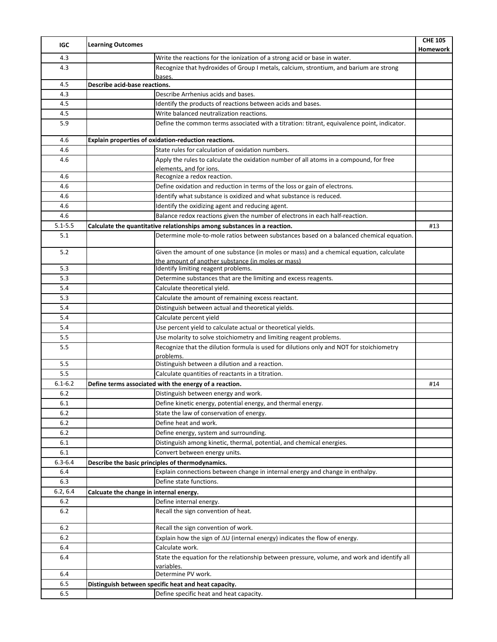| <b>IGC</b>  | <b>Learning Outcomes</b>                                                                              | <b>CHE 105</b><br>Homework |
|-------------|-------------------------------------------------------------------------------------------------------|----------------------------|
| 4.3         | Write the reactions for the ionization of a strong acid or base in water.                             |                            |
| 4.3         | Recognize that hydroxides of Group I metals, calcium, strontium, and barium are strong<br>bases.      |                            |
| 4.5         | Describe acid-base reactions.                                                                         |                            |
| 4.3         | Describe Arrhenius acids and bases.                                                                   |                            |
| 4.5         | Identify the products of reactions between acids and bases.                                           |                            |
| 4.5         | Write balanced neutralization reactions.                                                              |                            |
| 5.9         | Define the common terms associated with a titration: titrant, equivalence point, indicator.           |                            |
| 4.6         | Explain properties of oxidation-reduction reactions.                                                  |                            |
| 4.6         | State rules for calculation of oxidation numbers.                                                     |                            |
| 4.6         | Apply the rules to calculate the oxidation number of all atoms in a compound, for free                |                            |
|             | elements, and for ions.                                                                               |                            |
| 4.6         | Recognize a redox reaction.                                                                           |                            |
| 4.6         | Define oxidation and reduction in terms of the loss or gain of electrons.                             |                            |
| 4.6         | Identify what substance is oxidized and what substance is reduced.                                    |                            |
| 4.6         | Identify the oxidizing agent and reducing agent.                                                      |                            |
| 4.6         | Balance redox reactions given the number of electrons in each half-reaction.                          |                            |
| $5.1 - 5.5$ | Calculate the quantitative relationships among substances in a reaction.                              | #13                        |
| 5.1         | Determine mole-to-mole ratios between substances based on a balanced chemical equation.               |                            |
| 5.2         | Given the amount of one substance (in moles or mass) and a chemical equation, calculate               |                            |
| 5.3         | the amount of another substance (in moles or mass)<br>Identify limiting reagent problems.             |                            |
| 5.3         | Determine substances that are the limiting and excess reagents.                                       |                            |
| 5.4         | Calculate theoretical yield.                                                                          |                            |
| 5.3         | Calculate the amount of remaining excess reactant.                                                    |                            |
| 5.4         | Distinguish between actual and theoretical yields.                                                    |                            |
| 5.4         |                                                                                                       |                            |
| 5.4         | Calculate percent yield                                                                               |                            |
| 5.5         | Use percent yield to calculate actual or theoretical yields.                                          |                            |
|             | Use molarity to solve stoichiometry and limiting reagent problems.                                    |                            |
| 5.5         | Recognize that the dilution formula is used for dilutions only and NOT for stoichiometry<br>problems. |                            |
| 5.5         | Distinguish between a dilution and a reaction.                                                        |                            |
| 5.5         | Calculate quantities of reactants in a titration.                                                     |                            |
| $6.1 - 6.2$ | Define terms associated with the energy of a reaction.                                                | #14                        |
| 6.2         | Distinguish between energy and work.                                                                  |                            |
| 6.1         | Define kinetic energy, potential energy, and thermal energy.                                          |                            |
| 6.2         | State the law of conservation of energy.                                                              |                            |
| 6.2         | Define heat and work.                                                                                 |                            |
| 6.2         | Define energy, system and surrounding.                                                                |                            |
| 6.1         | Distinguish among kinetic, thermal, potential, and chemical energies.                                 |                            |
| 6.1         | Convert between energy units.                                                                         |                            |
| $6.3 - 6.4$ | Describe the basic principles of thermodynamics.                                                      |                            |
| 6.4         | Explain connections between change in internal energy and change in enthalpy.                         |                            |
| 6.3         | Define state functions.                                                                               |                            |
| 6.2, 6.4    | Calcuate the change in internal energy.                                                               |                            |
| 6.2         | Define internal energy.                                                                               |                            |
| 6.2         | Recall the sign convention of heat.                                                                   |                            |
| 6.2         | Recall the sign convention of work.                                                                   |                            |
| 6.2         | Explain how the sign of $\Delta U$ (internal energy) indicates the flow of energy.                    |                            |
| 6.4         | Calculate work.                                                                                       |                            |
| 6.4         | State the equation for the relationship between pressure, volume, and work and identify all           |                            |
| 6.4         | <u>variables.</u><br>Determine PV work.                                                               |                            |
| 6.5         |                                                                                                       |                            |
| 6.5         | Distinguish between specific heat and heat capacity.<br>Define specific heat and heat capacity.       |                            |
|             |                                                                                                       |                            |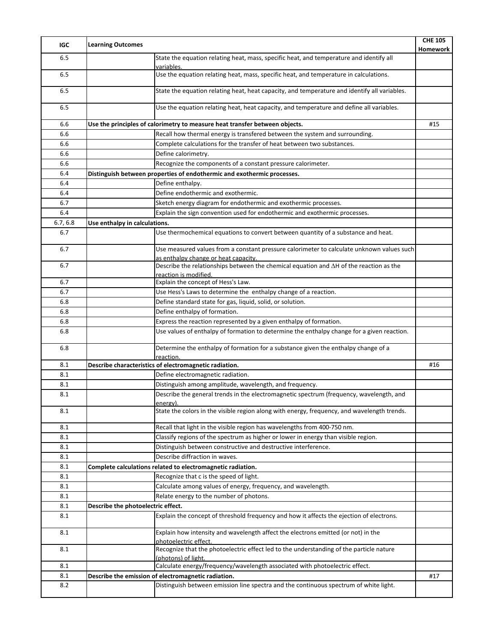| IGC      | <b>Learning Outcomes</b>                                                                                                          | <b>CHE 105</b><br>Homework |
|----------|-----------------------------------------------------------------------------------------------------------------------------------|----------------------------|
| 6.5      | State the equation relating heat, mass, specific heat, and temperature and identify all<br>variables.                             |                            |
| 6.5      | Use the equation relating heat, mass, specific heat, and temperature in calculations.                                             |                            |
| 6.5      | State the equation relating heat, heat capacity, and temperature and identify all variables.                                      |                            |
| 6.5      | Use the equation relating heat, heat capacity, and temperature and define all variables.                                          |                            |
| 6.6      | Use the principles of calorimetry to measure heat transfer between objects.                                                       | #15                        |
| 6.6      | Recall how thermal energy is transfered between the system and surrounding.                                                       |                            |
| 6.6      | Complete calculations for the transfer of heat between two substances.                                                            |                            |
| 6.6      | Define calorimetry.                                                                                                               |                            |
| 6.6      | Recognize the components of a constant pressure calorimeter.                                                                      |                            |
| 6.4      | Distinguish between properties of endothermic and exothermic processes.                                                           |                            |
| 6.4      | Define enthalpy.                                                                                                                  |                            |
| 6.4      | Define endothermic and exothermic.                                                                                                |                            |
| 6.7      | Sketch energy diagram for endothermic and exothermic processes.                                                                   |                            |
| 6.4      | Explain the sign convention used for endothermic and exothermic processes.                                                        |                            |
| 6.7, 6.8 | Use enthalpy in calculations.                                                                                                     |                            |
| 6.7      | Use thermochemical equations to convert between quantity of a substance and heat.                                                 |                            |
| 6.7      | Use measured values from a constant pressure calorimeter to calculate unknown values such<br>as enthalpy change or heat capacity. |                            |
| 6.7      | Describe the relationships between the chemical equation and $\Delta H$ of the reaction as the<br>reaction is modified.           |                            |
| 6.7      | Explain the concept of Hess's Law.                                                                                                |                            |
| 6.7      | Use Hess's Laws to determine the enthalpy change of a reaction.                                                                   |                            |
| 6.8      | Define standard state for gas, liquid, solid, or solution.                                                                        |                            |
| 6.8      | Define enthalpy of formation.                                                                                                     |                            |
| 6.8      | Express the reaction represented by a given enthalpy of formation.                                                                |                            |
| 6.8      | Use values of enthalpy of formation to determine the enthalpy change for a given reaction.                                        |                            |
| 6.8      | Determine the enthalpy of formation for a substance given the enthalpy change of a<br>reaction.                                   |                            |
| 8.1      | Describe characteristics of electromagnetic radiation.                                                                            | #16                        |
| 8.1      | Define electromagnetic radiation.                                                                                                 |                            |
| 8.1      | Distinguish among amplitude, wavelength, and frequency.                                                                           |                            |
| 8.1      | Describe the general trends in the electromagnetic spectrum (frequency, wavelength, and                                           |                            |
| 8.1      | energy).<br>State the colors in the visible region along with energy, frequency, and wavelength trends.                           |                            |
|          |                                                                                                                                   |                            |
| 8.1      | Recall that light in the visible region has wavelengths from 400-750 nm.                                                          |                            |
| 8.1      | Classify regions of the spectrum as higher or lower in energy than visible region.                                                |                            |
| 8.1      | Distinguish between constructive and destructive interference.                                                                    |                            |
| 8.1      | Describe diffraction in waves.                                                                                                    |                            |
| 8.1      | Complete calculations related to electromagnetic radiation.                                                                       |                            |
| 8.1      | Recognize that c is the speed of light.                                                                                           |                            |
| 8.1      | Calculate among values of energy, frequency, and wavelength.                                                                      |                            |
| 8.1      | Relate energy to the number of photons.                                                                                           |                            |
| 8.1      | Describe the photoelectric effect.                                                                                                |                            |
| 8.1      | Explain the concept of threshold frequency and how it affects the ejection of electrons.                                          |                            |
| 8.1      | Explain how intensity and wavelength affect the electrons emitted (or not) in the<br>photoelectric effect.                        |                            |
| 8.1      | Recognize that the photoelectric effect led to the understanding of the particle nature<br>(photons) of light.                    |                            |
| 8.1      | Calculate energy/frequency/wavelength associated with photoelectric effect.                                                       |                            |
| 8.1      | Describe the emission of electromagnetic radiation.                                                                               | #17                        |
| 8.2      | Distinguish between emission line spectra and the continuous spectrum of white light.                                             |                            |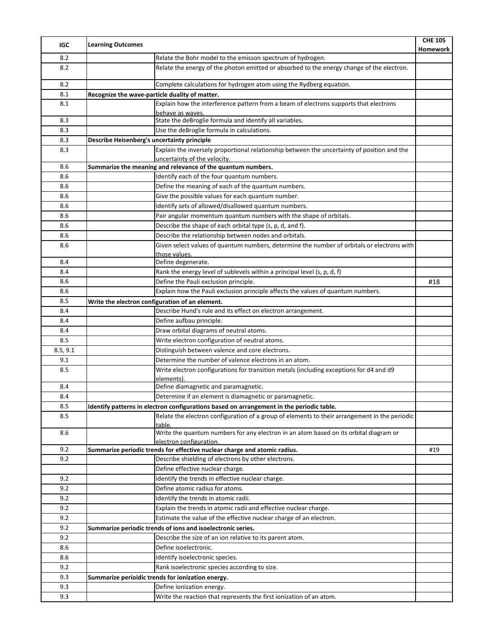| IGC      | <b>Learning Outcomes</b>                                                                                         | <b>CHE 105</b><br>Homework |
|----------|------------------------------------------------------------------------------------------------------------------|----------------------------|
| 8.2      | Relate the Bohr model to the emisson spectrum of hydrogen.                                                       |                            |
| 8.2      | Relate the energy of the photon emitted or absorbed to the energy change of the electron.                        |                            |
| 8.2      | Complete calculations for hydrogen atom using the Rydberg equation.                                              |                            |
| 8.1      | Recognize the wave-particle duality of matter.                                                                   |                            |
| 8.1      | Explain how the interference pattern from a beam of electrons supports that electrons<br>behave as waves.        |                            |
| 8.3      | State the deBroglie formula and identify all variables.                                                          |                            |
| 8.3      | Use the deBroglie formula in calculations.                                                                       |                            |
| 8.3      | Describe Heisenberg's uncertainty principle                                                                      |                            |
| 8.3      | Explain the inversely proportional relationship between the uncertainty of position and the                      |                            |
| 8.6      | uncertainty of the velocity.<br>Summarize the meaning and relevance of the quantum numbers.                      |                            |
| 8.6      | Identify each of the four quantum numbers.                                                                       |                            |
| 8.6      | Define the meaning of each of the quantum numbers.                                                               |                            |
| 8.6      | Give the possible values for each quantum number.                                                                |                            |
| 8.6      | Identify sets of allowed/disallowed quantum numbers.                                                             |                            |
| 8.6      | Pair angular momentum quantum numbers with the shape of orbitals.                                                |                            |
| 8.6      | Describe the shape of each orbital type (s, p, d, and f).                                                        |                            |
| 8.6      | Describe the relationship between nodes and orbitals.                                                            |                            |
| 8.6      | Given select values of quantum numbers, determine the number of orbitals or electrons with                       |                            |
|          | those values.                                                                                                    |                            |
| 8.4      | Define degenerate.                                                                                               |                            |
| 8.4      | Rank the energy level of sublevels within a principal level (s, p, d, f)                                         |                            |
| 8.6      | Define the Pauli exclusion principle.                                                                            | #18                        |
| 8.6      | Explain how the Pauli exclusion principle affects the values of quantum numbers.                                 |                            |
| 8.5      | Write the electron configuration of an element.                                                                  |                            |
| 8.4      | Describe Hund's rule and its effect on electron arrangement.                                                     |                            |
| 8.4      | Define aufbau principle.                                                                                         |                            |
| 8.4      | Draw orbital diagrams of neutral atoms.                                                                          |                            |
| 8.5      | Write electron configuration of neutral atoms.                                                                   |                            |
| 8.5, 9.1 | Distinguish between valence and core electrons.                                                                  |                            |
| 9.1      | Determine the number of valence electrons in an atom.                                                            |                            |
| 8.5      | Write electron configurations for transition metals (including exceptions for d4 and d9                          |                            |
| 8.4      | elements).                                                                                                       |                            |
|          | Define diamagnetic and paramagnetic.                                                                             |                            |
| 8.4      | Determine if an element is diamagnetic or paramagnetic.                                                          |                            |
| 8.5      | Identify patterns in electron configurations based on arrangement in the periodic table.                         |                            |
| 8.5      | Relate the electron configuration of a group of elements to their arrangement in the periodic<br>table.          |                            |
| 8.6      | Write the quantum numbers for any electron in an atom based on its orbital diagram or<br>electron configuration. |                            |
| 9.2      | Summarize periodic trends for effective nuclear charge and atomic radius.                                        | #19                        |
| 9.2      | Describe shielding of electrons by other electrons.                                                              |                            |
|          | Define effective nuclear charge.                                                                                 |                            |
| 9.2      | Identify the trends in effective nuclear charge.                                                                 |                            |
| 9.2      | Define atomic radius for atoms.                                                                                  |                            |
| 9.2      | Identify the trends in atomic radii.                                                                             |                            |
| 9.2      | Explain the trends in atomic radii and effective nuclear charge.                                                 |                            |
| 9.2      | Estimate the value of the effective nuclear charge of an electron.                                               |                            |
| 9.2      | Summarize periodic trends of ions and isoelectronic series.                                                      |                            |
| 9.2      | Describe the size of an ion relative to its parent atom.                                                         |                            |
| 8.6      | Define isoelectronic.                                                                                            |                            |
| 8.6      | Identify isoelectronic species.                                                                                  |                            |
| 9.2      | Rank isoelectronic species according to size.                                                                    |                            |
| 9.3      | Summarize perioidic trends for ionization energy.                                                                |                            |
| 9.3      | Define ionization energy.                                                                                        |                            |
| 9.3      | Write the reaction that represents the first ionization of an atom.                                              |                            |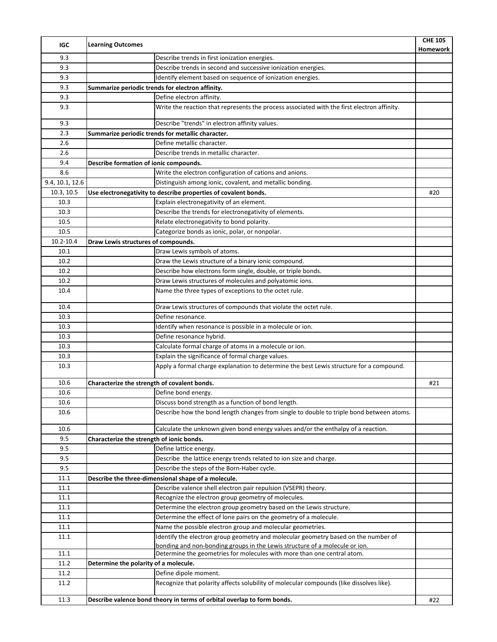| IGC             | <b>Learning Outcomes</b>                                                                                                                               | <b>CHE 105</b><br>Homework |
|-----------------|--------------------------------------------------------------------------------------------------------------------------------------------------------|----------------------------|
| 9.3             | Describe trends in first ionization energies.                                                                                                          |                            |
| 9.3             | Describe trends in second and successive ionization energies.                                                                                          |                            |
| 9.3             | Identify element based on sequence of ionization energies.                                                                                             |                            |
| 9.3             | Summarize periodic trends for electron affinity.                                                                                                       |                            |
| 9.3             | Define electron affinity.                                                                                                                              |                            |
| 9.3             | Write the reaction that represents the process associated with the first electron affinity.                                                            |                            |
| 9.3             | Describe "trends" in electron affinity values.                                                                                                         |                            |
| 2.3             | Summarize periodic trends for metallic character.                                                                                                      |                            |
| 2.6             | Define metallic character.                                                                                                                             |                            |
| 2.6             | Describe trends in metallic character.                                                                                                                 |                            |
| 9.4             | Describe formation of ionic compounds.                                                                                                                 |                            |
| 8.6             | Write the electron configuration of cations and anions.                                                                                                |                            |
| 9.4, 10.1, 12.6 | Distinguish among ionic, covalent, and metallic bonding.                                                                                               |                            |
| 10.3, 10.5      | Use electronegativity to describe properties of covalent bonds.                                                                                        | #20                        |
| 10.3            | Explain electronegativity of an element.                                                                                                               |                            |
| 10.3            | Describe the trends for electronegativity of elements.                                                                                                 |                            |
| 10.5            | Relate electronegativity to bond polarity.                                                                                                             |                            |
| 10.5            | Categorize bonds as ionic, polar, or nonpolar.                                                                                                         |                            |
| 10.2-10.4       | Draw Lewis structures of compounds.                                                                                                                    |                            |
| 10.1            | Draw Lewis symbols of atoms.                                                                                                                           |                            |
| 10.2            | Draw the Lewis structure of a binary ionic compound.                                                                                                   |                            |
| 10.2            | Describe how electrons form single, double, or triple bonds.                                                                                           |                            |
| 10.2            | Draw Lewis structures of molecules and polyatomic ions.                                                                                                |                            |
| 10.4            | Name the three types of exceptions to the octet rule.                                                                                                  |                            |
| 10.4            | Draw Lewis structures of compounds that violate the octet rule.                                                                                        |                            |
| 10.3            | Define resonance.                                                                                                                                      |                            |
| 10.3            | Identify when resonance is possible in a molecule or ion.                                                                                              |                            |
| 10.3            | Define resonance hybrid.                                                                                                                               |                            |
| 10.3            | Calculate formal charge of atoms in a molecule or ion.                                                                                                 |                            |
| 10.3            | Explain the significance of formal charge values.                                                                                                      |                            |
| 10.3            | Apply a formal charge explanation to determine the best Lewis structure for a compound.                                                                |                            |
| 10.6            | Characterize the strength of covalent bonds.                                                                                                           | #21                        |
| 10.6            | Define bond energy.                                                                                                                                    |                            |
| 10.6            | Discuss bond strength as a function of bond length.                                                                                                    |                            |
| 10.6            | Describe how the bond length changes from single to double to triple bond between atoms.                                                               |                            |
| 10.6            | Calculate the unknown given bond energy values and/or the enthalpy of a reaction.                                                                      |                            |
| 9.5             | Characterize the strength of ionic bonds.                                                                                                              |                            |
| 9.5             | Define lattice energy.                                                                                                                                 |                            |
| 9.5             | Describe the lattice energy trends related to ion size and charge.                                                                                     |                            |
| 9.5             | Describe the steps of the Born-Haber cycle.                                                                                                            |                            |
| 11.1            | Describe the three-dimensional shape of a molecule.                                                                                                    |                            |
| 11.1            | Describe valence shell electron pair repulsion (VSEPR) theory.                                                                                         |                            |
| 11.1            | Recognize the electron group geometry of molecules.                                                                                                    |                            |
| 11.1            | Determine the electron group geometry based on the Lewis structure.                                                                                    |                            |
| 11.1            | Determine the effect of lone pairs on the geometry of a molecule.                                                                                      |                            |
| 11.1            | Name the possible electron group and molecular geometries.                                                                                             |                            |
| 11.1            | Identify the electron group geometry and molecular geometry based on the number of                                                                     |                            |
| 11.1            | bonding and non-bonding groups in the Lewis structure of a molecule or ion.<br>Determine the geometries for molecules with more than one central atom. |                            |
| 11.2            | Determine the polarity of a molecule.                                                                                                                  |                            |
| 11.2            | Define dipole moment.                                                                                                                                  |                            |
| 11.2            | Recognize that polarity affects solubility of molecular compounds (like dissolves like).                                                               |                            |
| 11.3            | Describe valence bond theory in terms of orbital overlap to form bonds.                                                                                | #22                        |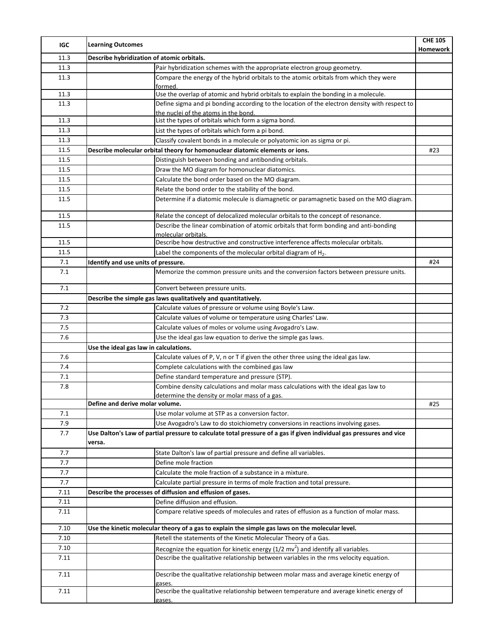| IGC     | <b>Learning Outcomes</b>                                                                                             | <b>CHE 105</b> |
|---------|----------------------------------------------------------------------------------------------------------------------|----------------|
| 11.3    | Describe hybridization of atomic orbitals.                                                                           | Homework       |
| 11.3    | Pair hybridization schemes with the appropriate electron group geometry.                                             |                |
| 11.3    | Compare the energy of the hybrid orbitals to the atomic orbitals from which they were                                |                |
|         | formed.                                                                                                              |                |
| 11.3    | Use the overlap of atomic and hybrid orbitals to explain the bonding in a molecule.                                  |                |
| 11.3    | Define sigma and pi bonding according to the location of the electron density with respect to                        |                |
| 11.3    | the nuclei of the atoms in the bond.                                                                                 |                |
| 11.3    | List the types of orbitals which form a sigma bond.<br>List the types of orbitals which form a pi bond.              |                |
| 11.3    | Classify covalent bonds in a molecule or polyatomic ion as sigma or pi.                                              |                |
| 11.5    | Describe molecular orbital theory for homonuclear diatomic elements or ions.                                         | #23            |
| 11.5    | Distinguish between bonding and antibonding orbitals.                                                                |                |
| 11.5    | Draw the MO diagram for homonuclear diatomics.                                                                       |                |
| 11.5    | Calculate the bond order based on the MO diagram.                                                                    |                |
| 11.5    | Relate the bond order to the stability of the bond.                                                                  |                |
| 11.5    | Determine if a diatomic molecule is diamagnetic or paramagnetic based on the MO diagram.                             |                |
|         |                                                                                                                      |                |
| 11.5    | Relate the concept of delocalized molecular orbitals to the concept of resonance.                                    |                |
| 11.5    | Describe the linear combination of atomic orbitals that form bonding and anti-bonding                                |                |
|         | molecular orbitals.                                                                                                  |                |
| 11.5    | Describe how destructive and constructive interference affects molecular orbitals.                                   |                |
| 11.5    | Label the components of the molecular orbital diagram of $H_2$ .                                                     |                |
| 7.1     | Identify and use units of pressure.                                                                                  | #24            |
| 7.1     | Memorize the common pressure units and the conversion factors between pressure units.                                |                |
| 7.1     | Convert between pressure units.                                                                                      |                |
|         | Describe the simple gas laws qualitatively and quantitatively.                                                       |                |
| 7.2     | Calculate values of pressure or volume using Boyle's Law.                                                            |                |
| 7.3     | Calculate values of volume or temperature using Charles' Law.                                                        |                |
| 7.5     | Calculate values of moles or volume using Avogadro's Law.                                                            |                |
| $7.6\,$ | Use the ideal gas law equation to derive the simple gas laws.                                                        |                |
|         | Use the ideal gas law in calculations.                                                                               |                |
| 7.6     | Calculate values of P, V, n or T if given the other three using the ideal gas law.                                   |                |
| 7.4     | Complete calculations with the combined gas law                                                                      |                |
| 7.1     | Define standard temperature and pressure (STP).                                                                      |                |
| 7.8     | Combine density calculations and molar mass calculations with the ideal gas law to                                   |                |
|         | determine the density or molar mass of a gas.<br>Define and derive molar volume.                                     | #25            |
| 7.1     | Use molar volume at STP as a conversion factor.                                                                      |                |
| 7.9     | Use Avogadro's Law to do stoichiometry conversions in reactions involving gases.                                     |                |
| 7.7     | Use Dalton's Law of partial pressure to calculate total pressure of a gas if given individual gas pressures and vice |                |
|         | versa.                                                                                                               |                |
| 7.7     | State Dalton's law of partial pressure and define all variables.                                                     |                |
| 7.7     | Define mole fraction                                                                                                 |                |
| 7.7     | Calculate the mole fraction of a substance in a mixture.                                                             |                |
| 7.7     | Calculate partial pressure in terms of mole fraction and total pressure.                                             |                |
| 7.11    | Describe the processes of diffusion and effusion of gases.                                                           |                |
| 7.11    | Define diffusion and effusion.                                                                                       |                |
| 7.11    | Compare relative speeds of molecules and rates of effusion as a function of molar mass.                              |                |
| 7.10    | Use the kinetic molecular theory of a gas to explain the simple gas laws on the molecular level.                     |                |
| 7.10    | Retell the statements of the Kinetic Molecular Theory of a Gas.                                                      |                |
| 7.10    | Recognize the equation for kinetic energy $(1/2 mv^2)$ and identify all variables.                                   |                |
| 7.11    | Describe the qualitative relationship between variables in the rms velocity equation.                                |                |
| 7.11    | Describe the qualitative relationship between molar mass and average kinetic energy of                               |                |
|         | gases.                                                                                                               |                |
| 7.11    | Describe the qualitative relationship between temperature and average kinetic energy of<br>gases.                    |                |